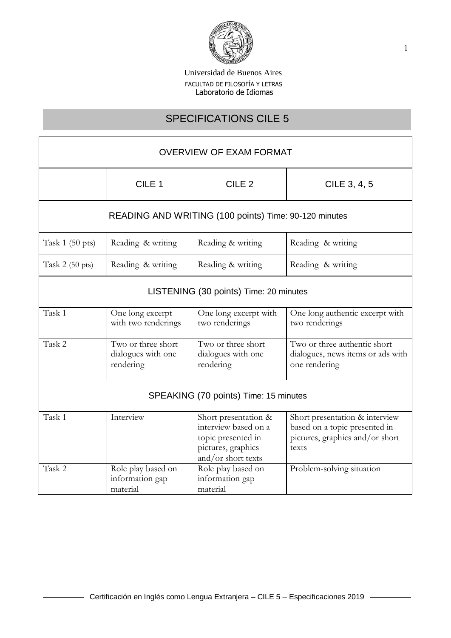

# SPECIFICATIONS CILE 5

| <b>OVERVIEW OF EXAM FORMAT</b>                        |                                                       |                                                                                                                |                                                                                                             |  |
|-------------------------------------------------------|-------------------------------------------------------|----------------------------------------------------------------------------------------------------------------|-------------------------------------------------------------------------------------------------------------|--|
|                                                       | CILE <sub>1</sub>                                     | CILE <sub>2</sub>                                                                                              | CILE 3, 4, 5                                                                                                |  |
| READING AND WRITING (100 points) Time: 90-120 minutes |                                                       |                                                                                                                |                                                                                                             |  |
| Task 1 (50 pts)                                       | Reading & writing                                     | Reading & writing                                                                                              | Reading & writing                                                                                           |  |
| Task $2(50 \text{ pts})$                              | Reading & writing                                     | Reading & writing                                                                                              | Reading & writing                                                                                           |  |
| LISTENING (30 points) Time: 20 minutes                |                                                       |                                                                                                                |                                                                                                             |  |
| Task 1                                                | One long excerpt<br>with two renderings               | One long excerpt with<br>two renderings                                                                        | One long authentic excerpt with<br>two renderings                                                           |  |
| Task 2                                                | Two or three short<br>dialogues with one<br>rendering | Two or three short<br>dialogues with one<br>rendering                                                          | Two or three authentic short<br>dialogues, news items or ads with<br>one rendering                          |  |
| SPEAKING (70 points) Time: 15 minutes                 |                                                       |                                                                                                                |                                                                                                             |  |
| Task 1                                                | Interview                                             | Short presentation &<br>interview based on a<br>topic presented in<br>pictures, graphics<br>and/or short texts | Short presentation & interview<br>based on a topic presented in<br>pictures, graphics and/or short<br>texts |  |
| Task 2                                                | Role play based on<br>information gap<br>material     | Role play based on<br>information gap<br>material                                                              | Problem-solving situation                                                                                   |  |

 $\overline{\phantom{a}}$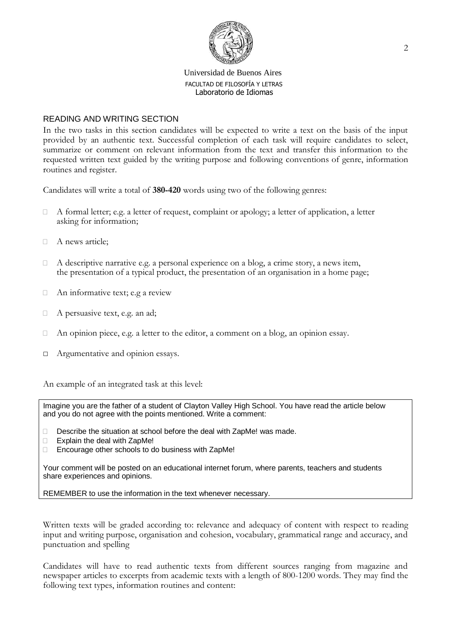

## READING AND WRITING SECTION

In the two tasks in this section candidates will be expected to write a text on the basis of the input provided by an authentic text. Successful completion of each task will require candidates to select, summarize or comment on relevant information from the text and transfer this information to the requested written text guided by the writing purpose and following conventions of genre, information routines and register.

Candidates will write a total of **380-420** words using two of the following genres:

- $\Box$  A formal letter; e.g. a letter of request, complaint or apology; a letter of application, a letter asking for information;
- A news article;
- $\Box$  A descriptive narrative e.g. a personal experience on a blog, a crime story, a news item, the presentation of a typical product, the presentation of an organisation in a home page;
- $\Box$  An informative text; e.g a review
- □ A persuasive text, e.g. an ad;
- $\Box$  An opinion piece, e.g. a letter to the editor, a comment on a blog, an opinion essay.
- □ Argumentative and opinion essays.

An example of an integrated task at this level:

Imagine you are the father of a student of Clayton Valley High School. You have read the article below and you do not agree with the points mentioned. Write a comment:

- Describe the situation at school before the deal with ZapMe! was made.
- □ Explain the deal with ZapMe!
- $\Box$  Encourage other schools to do business with ZapMe!

Your comment will be posted on an educational internet forum, where parents, teachers and students share experiences and opinions.

REMEMBER to use the information in the text whenever necessary.

Written texts will be graded according to: relevance and adequacy of content with respect to reading input and writing purpose, organisation and cohesion, vocabulary, grammatical range and accuracy, and punctuation and spelling

Candidates will have to read authentic texts from different sources ranging from magazine and newspaper articles to excerpts from academic texts with a length of 800-1200 words. They may find the following text types, information routines and content: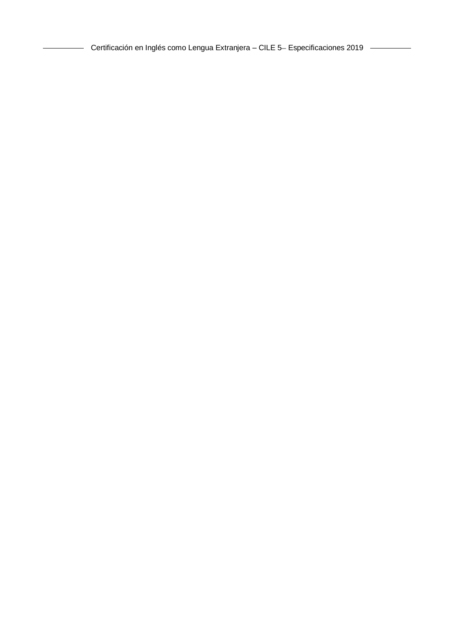Certificación en Inglés como Lengua Extranjera – CILE 5– Especificaciones 2019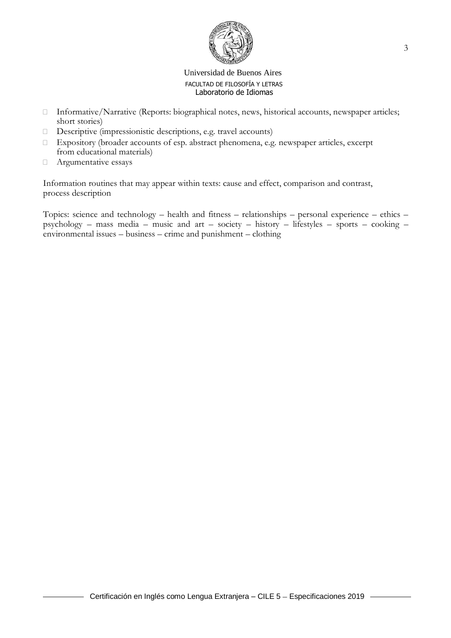

- □ Informative/Narrative (Reports: biographical notes, news, historical accounts, newspaper articles; short stories)
- Descriptive (impressionistic descriptions, e.g. travel accounts)
- Expository (broader accounts of esp. abstract phenomena, e.g. newspaper articles, excerpt from educational materials)
- Argumentative essays

Information routines that may appear within texts: cause and effect, comparison and contrast, process description

Topics: science and technology – health and fitness – relationships – personal experience – ethics – psychology – mass media – music and art – society – history – lifestyles – sports – cooking – environmental issues – business – crime and punishment – clothing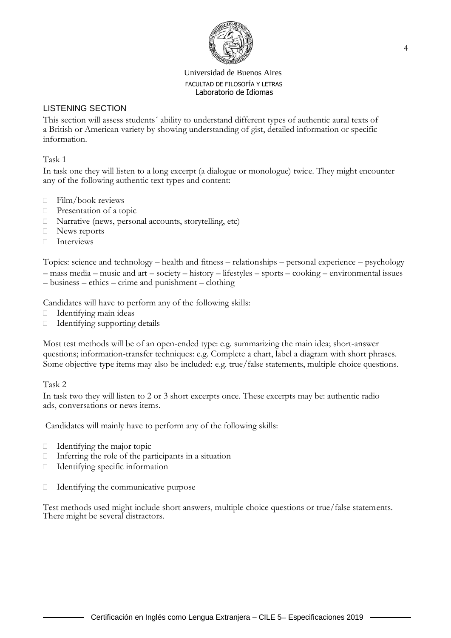

## LISTENING SECTION

This section will assess students´ ability to understand different types of authentic aural texts of a British or American variety by showing understanding of gist, detailed information or specific information.

## Task 1

In task one they will listen to a long excerpt (a dialogue or monologue) twice. They might encounter any of the following authentic text types and content:

- $\Box$  Film/book reviews
- **Presentation of a topic**
- $\Box$  Narrative (news, personal accounts, storytelling, etc)
- □ News reports
- Interviews

Topics: science and technology – health and fitness – relationships – personal experience – psychology – mass media – music and art – society – history – lifestyles – sports – cooking – environmental issues – business – ethics – crime and punishment – clothing

Candidates will have to perform any of the following skills:

- Identifying main ideas
- Identifying supporting details

Most test methods will be of an open-ended type: e.g. summarizing the main idea; short-answer questions; information-transfer techniques: e.g. Complete a chart, label a diagram with short phrases. Some objective type items may also be included: e.g. true/false statements, multiple choice questions.

### Task 2

In task two they will listen to 2 or 3 short excerpts once. These excerpts may be: authentic radio ads, conversations or news items.

Candidates will mainly have to perform any of the following skills:

- $\Box$  Identifying the major topic
- $\Box$  Inferring the role of the participants in a situation
- Identifying specific information
- $\Box$  Identifying the communicative purpose

Test methods used might include short answers, multiple choice questions or true/false statements. There might be several distractors.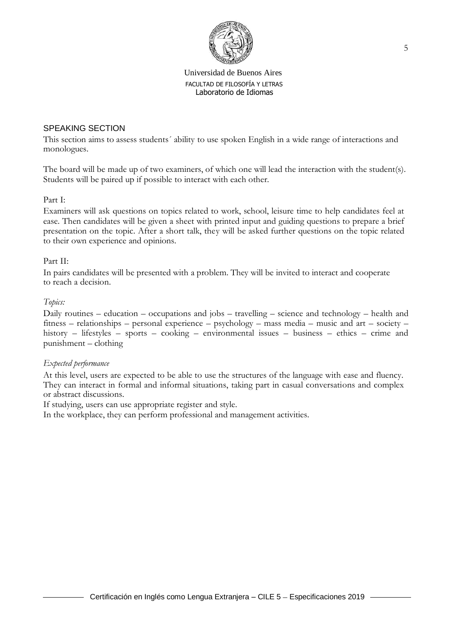

## SPEAKING SECTION

This section aims to assess students´ ability to use spoken English in a wide range of interactions and monologues.

The board will be made up of two examiners, of which one will lead the interaction with the student(s). Students will be paired up if possible to interact with each other.

Part I:

Examiners will ask questions on topics related to work, school, leisure time to help candidates feel at ease. Then candidates will be given a sheet with printed input and guiding questions to prepare a brief presentation on the topic. After a short talk, they will be asked further questions on the topic related to their own experience and opinions.

### Part II:

In pairs candidates will be presented with a problem. They will be invited to interact and cooperate to reach a decision.

#### *Topics:*

Daily routines – education – occupations and jobs – travelling – science and technology – health and fitness – relationships – personal experience – psychology – mass media – music and art – society – history – lifestyles – sports – cooking – environmental issues – business – ethics – crime and punishment – clothing

### *Expected performance*

At this level, users are expected to be able to use the structures of the language with ease and fluency. They can interact in formal and informal situations, taking part in casual conversations and complex or abstract discussions.

If studying, users can use appropriate register and style.

In the workplace, they can perform professional and management activities.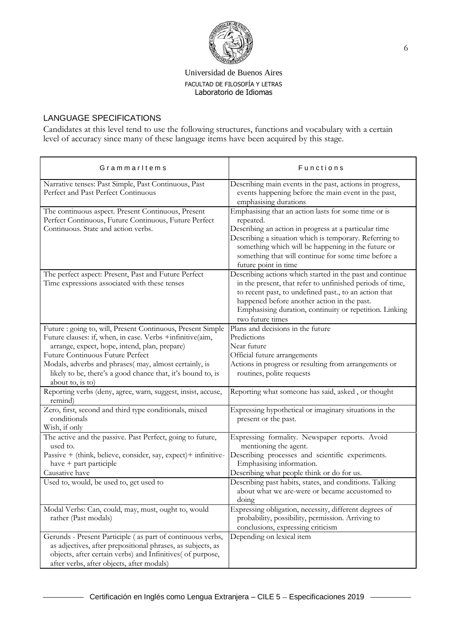

# LANGUAGE SPECIFICATIONS

Candidates at this level tend to use the following structures, functions and vocabulary with a certain level of accuracy since many of these language items have been acquired by this stage.

| Grammaritems                                                                                                                                                                                                                                                                                                                                              | Functions                                                                                                                                                                                                                                                                                                                  |
|-----------------------------------------------------------------------------------------------------------------------------------------------------------------------------------------------------------------------------------------------------------------------------------------------------------------------------------------------------------|----------------------------------------------------------------------------------------------------------------------------------------------------------------------------------------------------------------------------------------------------------------------------------------------------------------------------|
| Narrative tenses: Past Simple, Past Continuous, Past<br>Perfect and Past Perfect Continuous                                                                                                                                                                                                                                                               | Describing main events in the past, actions in progress,<br>events happening before the main event in the past,<br>emphasising durations                                                                                                                                                                                   |
| The continuous aspect. Present Continuous, Present<br>Perfect Continuous, Future Continuous, Future Perfect<br>Continuous. State and action verbs.                                                                                                                                                                                                        | Emphasising that an action lasts for some time or is<br>repeated.<br>Describing an action in progress at a particular time<br>Describing a situation which is temporary. Referring to<br>something which will be happening in the future or<br>something that will continue for some time before a<br>future point in time |
| The perfect aspect: Present, Past and Future Perfect<br>Time expressions associated with these tenses                                                                                                                                                                                                                                                     | Describing actions which started in the past and continue<br>in the present, that refer to unfinished periods of time,<br>to recent past, to undefined past., to an action that<br>happened before another action in the past.<br>Emphasising duration, continuity or repetition. Linking<br>two future times              |
| Future : going to, will, Present Continuous, Present Simple<br>Future clauses: if, when, in case. Verbs +infinitive(aim,<br>arrange, expect, hope, intend, plan, prepare)<br>Future Continuous Future Perfect<br>Modals, adverbs and phrases(may, almost certainly, is<br>likely to be, there's a good chance that, it's bound to, is<br>about to, is to) | Plans and decisions in the future<br>Predictions<br>Near future<br>Official future arrangements<br>Actions in progress or resulting from arrangements or<br>routines, polite requests                                                                                                                                      |
| Reporting verbs (deny, agree, warn, suggest, insist, accuse,<br>remind)                                                                                                                                                                                                                                                                                   | Reporting what someone has said, asked, or thought                                                                                                                                                                                                                                                                         |
| Zero, first, second and third type conditionals, mixed<br>conditionals<br>Wish, if only                                                                                                                                                                                                                                                                   | Expressing hypothetical or imaginary situations in the<br>present or the past.                                                                                                                                                                                                                                             |
| The active and the passive. Past Perfect, going to future,<br>used to.<br>Passive + (think, believe, consider, say, expect) + infinitive-<br>have + part participle<br>Causative have<br>Used to, would, be used to, get used to                                                                                                                          | Expressing formality. Newspaper reports. Avoid<br>mentioning the agent.<br>Describing processes and scientific experiments.<br>Emphasising information.<br>Describing what people think or do for us.<br>Describing past habits, states, and conditions. Talking                                                           |
|                                                                                                                                                                                                                                                                                                                                                           | about what we are-were or became accustomed to<br>doing                                                                                                                                                                                                                                                                    |
| Modal Verbs: Can, could, may, must, ought to, would<br>rather (Past modals)                                                                                                                                                                                                                                                                               | Expressing obligation, necessity, different degrees of<br>probability, possibility, permission. Arriving to<br>conclusions, expressing criticism                                                                                                                                                                           |
| Gerunds - Present Participle (as part of continuous verbs,<br>as adjectives, after prepositional phrases, as subjects, as<br>objects, after certain verbs) and Infinitives( of purpose,<br>after verbs, after objects, after modals)                                                                                                                      | Depending on lexical item                                                                                                                                                                                                                                                                                                  |